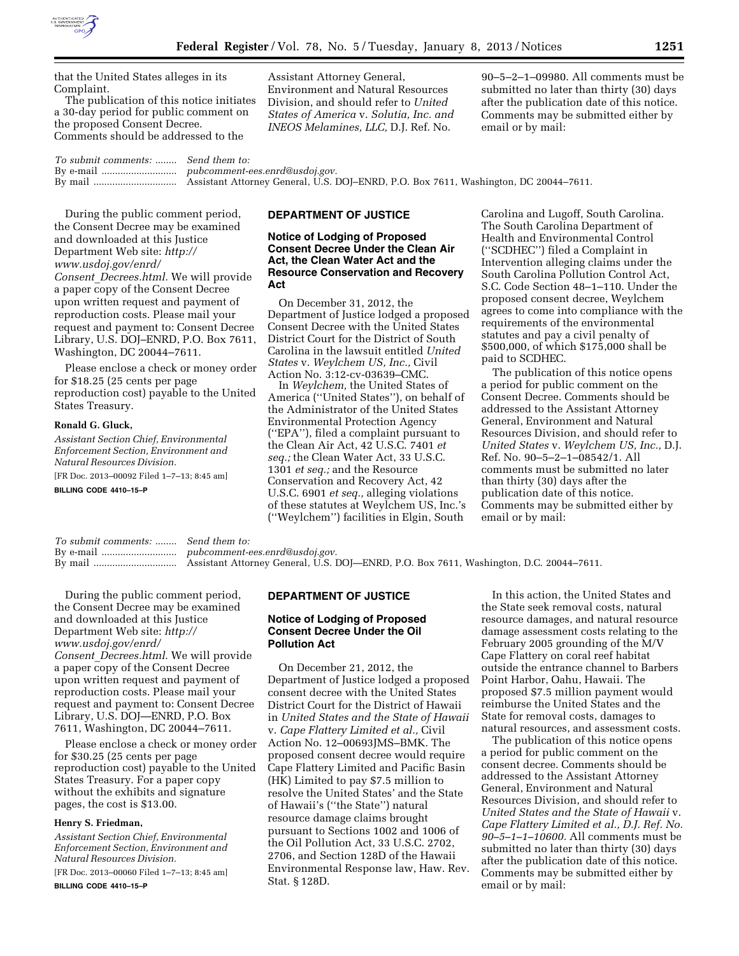

that the United States alleges in its Complaint.

The publication of this notice initiates a 30-day period for public comment on the proposed Consent Decree. Comments should be addressed to the

Assistant Attorney General, Environment and Natural Resources Division, and should refer to *United States of America* v. *Solutia, Inc. and INEOS Melamines, LLC,* D.J. Ref. No.

90–5–2–1–09980. All comments must be submitted no later than thirty (30) days after the publication date of this notice. Comments may be submitted either by email or by mail:

*To submit comments:* ........ *Send them to:*  By e-mail ............................ *[pubcomment-ees.enrd@usdoj.gov.](mailto:pubcomment-ees.enrd@usdoj.gov)*  By mail ............................... Assistant Attorney General, U.S. DOJ–ENRD, P.O. Box 7611, Washington, DC 20044–7611.

# During the public comment period, the Consent Decree may be examined and downloaded at this Justice Department Web site: *[http://](http://www.usdoj.gov/enrd/Consent_Decrees.html)  [www.usdoj.gov/enrd/](http://www.usdoj.gov/enrd/Consent_Decrees.html) Consent*\_*[Decrees.html.](http://www.usdoj.gov/enrd/Consent_Decrees.html)* We will provide a paper copy of the Consent Decree upon written request and payment of reproduction costs. Please mail your request and payment to: Consent Decree Library, U.S. DOJ–ENRD, P.O. Box 7611, Washington, DC 20044–7611.

Please enclose a check or money order for \$18.25 (25 cents per page reproduction cost) payable to the United States Treasury.

### **Ronald G. Gluck,**

*Assistant Section Chief, Environmental Enforcement Section, Environment and Natural Resources Division.* 

[FR Doc. 2013–00092 Filed 1–7–13; 8:45 am]

**BILLING CODE 4410–15–P** 

#### **DEPARTMENT OF JUSTICE**

## **Notice of Lodging of Proposed Consent Decree Under the Clean Air Act, the Clean Water Act and the Resource Conservation and Recovery Act**

On December 31, 2012, the Department of Justice lodged a proposed Consent Decree with the United States District Court for the District of South Carolina in the lawsuit entitled *United States* v. *Weylchem US, Inc.,* Civil Action No. 3:12-cv-03639–CMC.

In *Weylchem,* the United States of America (''United States''), on behalf of the Administrator of the United States Environmental Protection Agency (''EPA''), filed a complaint pursuant to the Clean Air Act, 42 U.S.C. 7401 *et seq.;* the Clean Water Act, 33 U.S.C. 1301 *et seq.;* and the Resource Conservation and Recovery Act, 42 U.S.C. 6901 *et seq.,* alleging violations of these statutes at Weylchem US, Inc.'s (''Weylchem'') facilities in Elgin, South

Carolina and Lugoff, South Carolina. The South Carolina Department of Health and Environmental Control (''SCDHEC'') filed a Complaint in Intervention alleging claims under the South Carolina Pollution Control Act, S.C. Code Section 48–1–110. Under the proposed consent decree, Weylchem agrees to come into compliance with the requirements of the environmental statutes and pay a civil penalty of \$500,000, of which \$175,000 shall be paid to SCDHEC.

The publication of this notice opens a period for public comment on the Consent Decree. Comments should be addressed to the Assistant Attorney General, Environment and Natural Resources Division, and should refer to *United States* v. *Weylchem US, Inc.,* D.J. Ref. No. 90–5–2–1–08542/1. All comments must be submitted no later than thirty (30) days after the publication date of this notice. Comments may be submitted either by email or by mail:

*To submit comments:* ........ *Send them to:*  By e-mail ............................ *[pubcomment-ees.enrd@usdoj.gov.](mailto:pubcomment-ees.enrd@usdoj.gov)*  By mail ............................... Assistant Attorney General, U.S. DOJ—ENRD, P.O. Box 7611, Washington, D.C. 20044–7611.

During the public comment period, the Consent Decree may be examined and downloaded at this Justice Department Web site: *[http://](http://www.usdoj.gov/enrd/Consent_Decrees.html)  [www.usdoj.gov/enrd/](http://www.usdoj.gov/enrd/Consent_Decrees.html) Consent*\_*[Decrees.html.](http://www.usdoj.gov/enrd/Consent_Decrees.html)* We will provide a paper copy of the Consent Decree upon written request and payment of reproduction costs. Please mail your request and payment to: Consent Decree Library, U.S. DOJ—ENRD, P.O. Box 7611, Washington, DC 20044–7611.

Please enclose a check or money order for \$30.25 (25 cents per page reproduction cost) payable to the United States Treasury. For a paper copy without the exhibits and signature pages, the cost is \$13.00.

## **Henry S. Friedman,**

*Assistant Section Chief, Environmental Enforcement Section, Environment and Natural Resources Division.* 

[FR Doc. 2013–00060 Filed 1–7–13; 8:45 am] **BILLING CODE 4410–15–P** 

## **DEPARTMENT OF JUSTICE**

# **Notice of Lodging of Proposed Consent Decree Under the Oil Pollution Act**

On December 21, 2012, the Department of Justice lodged a proposed consent decree with the United States District Court for the District of Hawaii in *United States and the State of Hawaii*  v. *Cape Flattery Limited et al.,* Civil Action No. 12–00693JMS–BMK. The proposed consent decree would require Cape Flattery Limited and Pacific Basin (HK) Limited to pay \$7.5 million to resolve the United States' and the State of Hawaii's (''the State'') natural resource damage claims brought pursuant to Sections 1002 and 1006 of the Oil Pollution Act, 33 U.S.C. 2702, 2706, and Section 128D of the Hawaii Environmental Response law, Haw. Rev. Stat. § 128D.

In this action, the United States and the State seek removal costs, natural resource damages, and natural resource damage assessment costs relating to the February 2005 grounding of the M/V Cape Flattery on coral reef habitat outside the entrance channel to Barbers Point Harbor, Oahu, Hawaii. The proposed \$7.5 million payment would reimburse the United States and the State for removal costs, damages to natural resources, and assessment costs.

The publication of this notice opens a period for public comment on the consent decree. Comments should be addressed to the Assistant Attorney General, Environment and Natural Resources Division, and should refer to *United States and the State of Hawaii* v. *Cape Flattery Limited et al., D.J. Ref. No. 90–5–1–1–10600.* All comments must be submitted no later than thirty (30) days after the publication date of this notice. Comments may be submitted either by email or by mail: